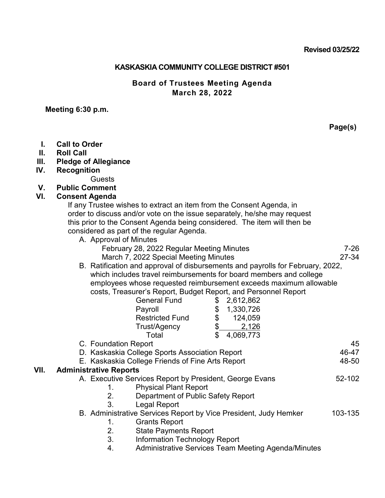### **KASKASKIA COMMUNITY COLLEGE DISTRICT #501**

### **Board of Trustees Meeting Agenda March 28, 2022**

#### **Meeting 6:30 p.m.**

**Page(s)**

- **I. Call to Order**
- **II. Roll Call**
- **III. Pledge of Allegiance**
- **IV. Recognition**

Guests

**V. Public Comment**

### **VI. Consent Agenda**

If any Trustee wishes to extract an item from the Consent Agenda, in order to discuss and/or vote on the issue separately, he/she may request this prior to the Consent Agenda being considered. The item will then be considered as part of the regular Agenda.

| A. Approval of Minutes                                                        |       |
|-------------------------------------------------------------------------------|-------|
| February 28, 2022 Regular Meeting Minutes                                     | 7-26  |
| March 7, 2022 Special Meeting Minutes                                         | 27-34 |
| R - Ratification and annroval of dishursements and nayrolls for February 2022 |       |

B. Ratification and approval of disbursements and payrolls for February, 2022, which includes travel reimbursements for board members and college employees whose requested reimbursement exceeds maximum allowable costs, Treasurer's Report, Budget Report, and Personnel Report

|      |                                                                                                    | <b>General Fund</b>                                              | \$ | 2,612,862 |  |         |
|------|----------------------------------------------------------------------------------------------------|------------------------------------------------------------------|----|-----------|--|---------|
|      |                                                                                                    | Payroll                                                          | \$ | 1,330,726 |  |         |
|      |                                                                                                    | <b>Restricted Fund</b>                                           | \$ | 124,059   |  |         |
|      |                                                                                                    | Trust/Agency                                                     | \$ | 2,126     |  |         |
|      |                                                                                                    | Total                                                            | \$ | 4,069,773 |  |         |
|      | C. Foundation Report                                                                               |                                                                  |    |           |  | 45      |
|      | D. Kaskaskia College Sports Association Report<br>E. Kaskaskia College Friends of Fine Arts Report |                                                                  |    |           |  | 46-47   |
|      |                                                                                                    |                                                                  |    |           |  | 48-50   |
| VII. | <b>Administrative Reports</b>                                                                      |                                                                  |    |           |  |         |
|      | A. Executive Services Report by President, George Evans                                            |                                                                  |    |           |  | 52-102  |
|      | 1.                                                                                                 | <b>Physical Plant Report</b>                                     |    |           |  |         |
|      | 2.                                                                                                 | Department of Public Safety Report                               |    |           |  |         |
|      | 3.                                                                                                 | Legal Report                                                     |    |           |  |         |
|      |                                                                                                    | B. Administrative Services Report by Vice President, Judy Hemker |    |           |  | 103-135 |
|      | 1.                                                                                                 | <b>Grants Report</b>                                             |    |           |  |         |
|      | 2.                                                                                                 | <b>State Payments Report</b>                                     |    |           |  |         |
|      | 3.                                                                                                 | <b>Information Technology Report</b>                             |    |           |  |         |
|      | 4.                                                                                                 | Administrative Services Team Meeting Agenda/Minutes              |    |           |  |         |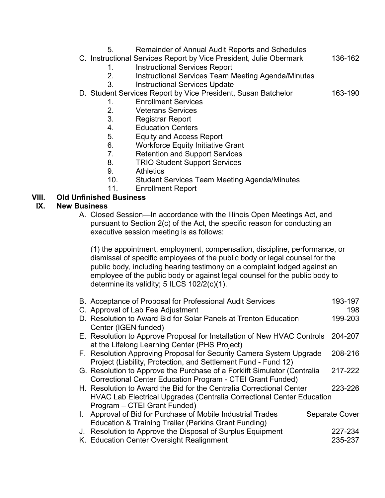- 5. Remainder of Annual Audit Reports and Schedules
- C. Instructional Services Report by Vice President, Julie Obermark 136-162
	- 1. Instructional Services Report
	- 2. Instructional Services Team Meeting Agenda/Minutes
	- 3. Instructional Services Update
- D. Student Services Report by Vice President, Susan Batchelor 163-190
	- 1. Enrollment Services
	- 2. Veterans Services
	- 3. Registrar Report
	- 4. Education Centers
	- 5. Equity and Access Report
	- 6. Workforce Equity Initiative Grant
	- 7. Retention and Support Services
	- 8. TRIO Student Support Services
	- 9. Athletics
	- 10. Student Services Team Meeting Agenda/Minutes
	- 11. Enrollment Report

# **VIII. Old Unfinished Business**

### **IX. New Business**

A. Closed Session—In accordance with the Illinois Open Meetings Act, and pursuant to Section 2(c) of the Act, the specific reason for conducting an executive session meeting is as follows:

(1) the appointment, employment, compensation, discipline, performance, or dismissal of specific employees of the public body or legal counsel for the public body, including hearing testimony on a complaint lodged against an employee of the public body or against legal counsel for the public body to determine its validity; 5 ILCS 102/2(c)(1).

| B. Acceptance of Proposal for Professional Audit Services                    | 193-197               |  |  |  |
|------------------------------------------------------------------------------|-----------------------|--|--|--|
| C. Approval of Lab Fee Adjustment                                            | 198                   |  |  |  |
| D. Resolution to Award Bid for Solar Panels at Trenton Education             | 199-203               |  |  |  |
| Center (IGEN funded)                                                         |                       |  |  |  |
| E. Resolution to Approve Proposal for Installation of New HVAC Controls      | 204-207               |  |  |  |
| at the Lifelong Learning Center (PHS Project)                                |                       |  |  |  |
| F. Resolution Approving Proposal for Security Camera System Upgrade          | 208-216               |  |  |  |
| Project (Liability, Protection, and Settlement Fund - Fund 12)               | 217-222               |  |  |  |
| G. Resolution to Approve the Purchase of a Forklift Simulator (Centralia     |                       |  |  |  |
| Correctional Center Education Program - CTEI Grant Funded)                   |                       |  |  |  |
| H. Resolution to Award the Bid for the Centralia Correctional Center         | 223-226               |  |  |  |
| <b>HVAC Lab Electrical Upgrades (Centralia Correctional Center Education</b> |                       |  |  |  |
| Program - CTEI Grant Funded)                                                 |                       |  |  |  |
| I. Approval of Bid for Purchase of Mobile Industrial Trades                  | <b>Separate Cover</b> |  |  |  |
| Education & Training Trailer (Perkins Grant Funding)                         |                       |  |  |  |
| J. Resolution to Approve the Disposal of Surplus Equipment                   | 227-234               |  |  |  |
| K. Education Center Oversight Realignment                                    | 235-237               |  |  |  |
|                                                                              |                       |  |  |  |